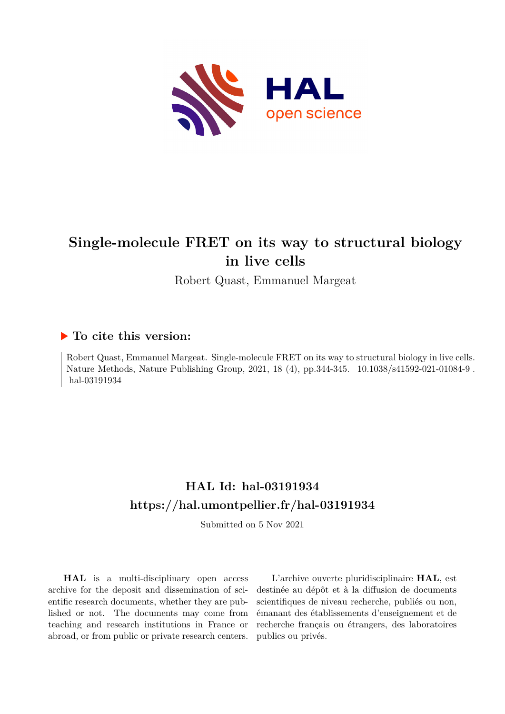

## **Single-molecule FRET on its way to structural biology in live cells**

Robert Quast, Emmanuel Margeat

## **To cite this version:**

Robert Quast, Emmanuel Margeat. Single-molecule FRET on its way to structural biology in live cells. Nature Methods, Nature Publishing Group, 2021, 18 (4), pp.344-345. 10.1038/s41592-021-01084-9. hal-03191934

## **HAL Id: hal-03191934 <https://hal.umontpellier.fr/hal-03191934>**

Submitted on 5 Nov 2021

**HAL** is a multi-disciplinary open access archive for the deposit and dissemination of scientific research documents, whether they are published or not. The documents may come from teaching and research institutions in France or abroad, or from public or private research centers.

L'archive ouverte pluridisciplinaire **HAL**, est destinée au dépôt et à la diffusion de documents scientifiques de niveau recherche, publiés ou non, émanant des établissements d'enseignement et de recherche français ou étrangers, des laboratoires publics ou privés.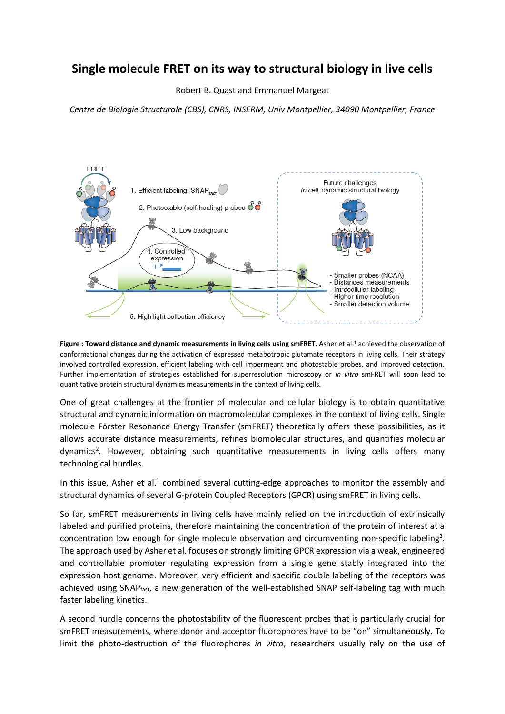## **Single molecule FRET on its way to structural biology in live cells**

Robert B. Quast and Emmanuel Margeat

*Centre de Biologie Structurale (CBS), CNRS, INSERM, Univ Montpellier, 34090 Montpellier, France*



**Figure : Toward distance and dynamic measurements in living cells using smFRET.** Asher et al.<sup>1</sup> achieved the observation of conformational changes during the activation of expressed metabotropic glutamate receptors in living cells. Their strategy involved controlled expression, efficient labeling with cell impermeant and photostable probes, and improved detection. Further implementation of strategies established for superresolution microscopy or *in vitro* smFRET will soon lead to quantitative protein structural dynamics measurements in the context of living cells.

One of great challenges at the frontier of molecular and cellular biology is to obtain quantitative structural and dynamic information on macromolecular complexes in the context of living cells. Single molecule Förster Resonance Energy Transfer (smFRET) theoretically offers these possibilities, as it allows accurate distance measurements, refines biomolecular structures, and quantifies molecular dynamics<sup>2</sup>. However, obtaining such quantitative measurements in living cells offers many technological hurdles.

In this issue, Asher et al.<sup>1</sup> combined several cutting-edge approaches to monitor the assembly and structural dynamics of several G-protein Coupled Receptors (GPCR) using smFRET in living cells.

So far, smFRET measurements in living cells have mainly relied on the introduction of extrinsically labeled and purified proteins, therefore maintaining the concentration of the protein of interest at a concentration low enough for single molecule observation and circumventing non-specific labeling<sup>3</sup>. The approach used by Asher et al. focuses on strongly limiting GPCR expression via a weak, engineered and controllable promoter regulating expression from a single gene stably integrated into the expression host genome. Moreover, very efficient and specific double labeling of the receptors was achieved using SNAP<sub>fast</sub>, a new generation of the well-established SNAP self-labeling tag with much faster labeling kinetics.

A second hurdle concerns the photostability of the fluorescent probes that is particularly crucial for smFRET measurements, where donor and acceptor fluorophores have to be "on" simultaneously. To limit the photo-destruction of the fluorophores *in vitro*, researchers usually rely on the use of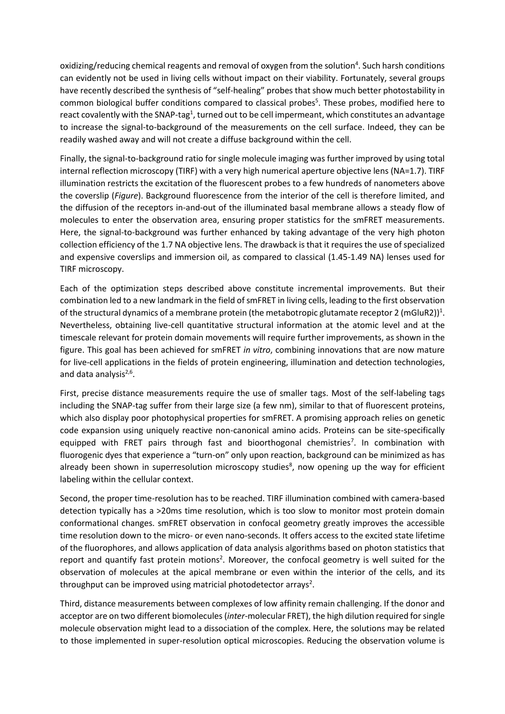oxidizing/reducing chemical reagents and removal of oxygen from the solution<sup>4</sup>. Such harsh conditions can evidently not be used in living cells without impact on their viability. Fortunately, several groups have recently described the synthesis of "self-healing" probes that show much better photostability in common biological buffer conditions compared to classical probes<sup>5</sup>. These probes, modified here to react covalently with the SNAP-tag<sup>1</sup>, turned out to be cell impermeant, which constitutes an advantage to increase the signal-to-background of the measurements on the cell surface. Indeed, they can be readily washed away and will not create a diffuse background within the cell.

Finally, the signal-to-background ratio for single molecule imaging was further improved by using total internal reflection microscopy (TIRF) with a very high numerical aperture objective lens (NA=1.7). TIRF illumination restricts the excitation of the fluorescent probes to a few hundreds of nanometers above the coverslip (*Figure*). Background fluorescence from the interior of the cell is therefore limited, and the diffusion of the receptors in-and-out of the illuminated basal membrane allows a steady flow of molecules to enter the observation area, ensuring proper statistics for the smFRET measurements. Here, the signal-to-background was further enhanced by taking advantage of the very high photon collection efficiency of the 1.7 NA objective lens. The drawback is that it requires the use of specialized and expensive coverslips and immersion oil, as compared to classical (1.45-1.49 NA) lenses used for TIRF microscopy.

Each of the optimization steps described above constitute incremental improvements. But their combination led to a new landmark in the field of smFRET in living cells, leading to the first observation of the structural dynamics of a membrane protein (the metabotropic glutamate receptor 2 (mGluR2))<sup>1</sup>. Nevertheless, obtaining live-cell quantitative structural information at the atomic level and at the timescale relevant for protein domain movements will require further improvements, as shown in the figure. This goal has been achieved for smFRET *in vitro*, combining innovations that are now mature for live-cell applications in the fields of protein engineering, illumination and detection technologies, and data analysis<sup>2,6</sup>.

First, precise distance measurements require the use of smaller tags. Most of the self-labeling tags including the SNAP-tag suffer from their large size (a few nm), similar to that of fluorescent proteins, which also display poor photophysical properties for smFRET. A promising approach relies on genetic code expansion using uniquely reactive non-canonical amino acids. Proteins can be site-specifically equipped with FRET pairs through fast and bioorthogonal chemistries<sup>7</sup>. In combination with fluorogenic dyes that experience a "turn-on" only upon reaction, background can be minimized as has already been shown in superresolution microscopy studies<sup>8</sup>, now opening up the way for efficient labeling within the cellular context.

Second, the proper time-resolution has to be reached. TIRF illumination combined with camera-based detection typically has a >20ms time resolution, which is too slow to monitor most protein domain conformational changes. smFRET observation in confocal geometry greatly improves the accessible time resolution down to the micro- or even nano-seconds. It offers access to the excited state lifetime of the fluorophores, and allows application of data analysis algorithms based on photon statistics that report and quantify fast protein motions<sup>2</sup>. Moreover, the confocal geometry is well suited for the observation of molecules at the apical membrane or even within the interior of the cells, and its throughput can be improved using matricial photodetector arrays<sup>2</sup>.

Third, distance measurements between complexes of low affinity remain challenging. If the donor and acceptor are on two different biomolecules(*inter*-molecular FRET), the high dilution required for single molecule observation might lead to a dissociation of the complex. Here, the solutions may be related to those implemented in super-resolution optical microscopies. Reducing the observation volume is